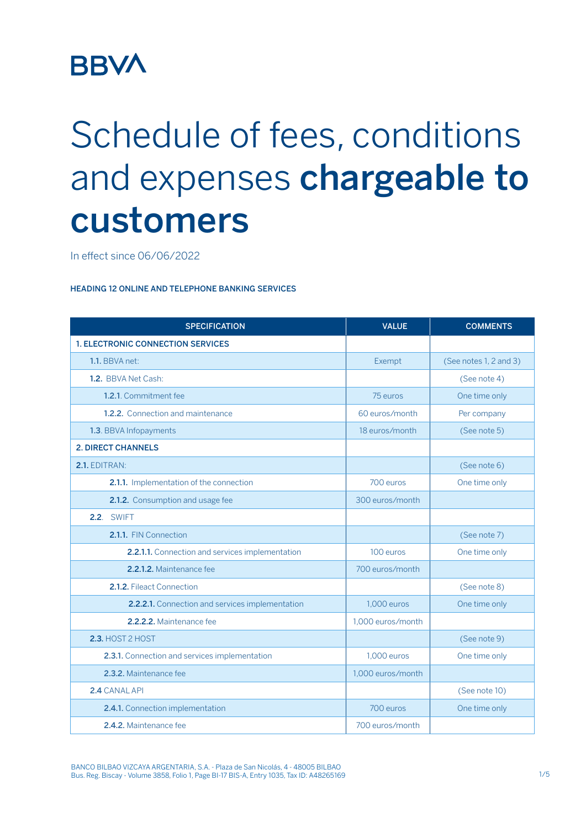## **BBVA**

## Schedule of fees, conditions and expenses chargeable to customers

In effect since 06/06/2022

## HEADING 12 ONLINE AND TELEPHONE BANKING SERVICES

| <b>SPECIFICATION</b>                            | <b>VALUE</b>      | <b>COMMENTS</b>        |
|-------------------------------------------------|-------------------|------------------------|
| <b>1. ELECTRONIC CONNECTION SERVICES</b>        |                   |                        |
| 1.1. BBVA net:                                  | Exempt            | (See notes 1, 2 and 3) |
| 1.2. BBVA Net Cash:                             |                   | (See note 4)           |
| 1.2.1. Commitment fee                           | 75 euros          | One time only          |
| 1.2.2. Connection and maintenance               | 60 euros/month    | Per company            |
| 1.3. BBVA Infopayments                          | 18 euros/month    | (See note 5)           |
| <b>2. DIRECT CHANNELS</b>                       |                   |                        |
| 2.1. EDITRAN:                                   |                   | (See note 6)           |
| 2.1.1. Implementation of the connection         | 700 euros         | One time only          |
| 2.1.2. Consumption and usage fee                | 300 euros/month   |                        |
| <b>2.2. SWIFT</b>                               |                   |                        |
| 2.1.1. FIN Connection                           |                   | (See note 7)           |
| 2.2.1.1. Connection and services implementation | 100 euros         | One time only          |
| 2.2.1.2. Maintenance fee                        | 700 euros/month   |                        |
| 2.1.2. Fileact Connection                       |                   | (See note 8)           |
| 2.2.2.1. Connection and services implementation | 1,000 euros       | One time only          |
| 2.2.2.2. Maintenance fee                        | 1.000 euros/month |                        |
| <b>2.3. HOST 2 HOST</b>                         |                   | (See note 9)           |
| 2.3.1. Connection and services implementation   | 1.000 euros       | One time only          |
| 2.3.2. Maintenance fee                          | 1,000 euros/month |                        |
| 2.4 CANAL API                                   |                   | (See note 10)          |
| 2.4.1. Connection implementation                | 700 euros         | One time only          |
| 2.4.2. Maintenance fee                          | 700 euros/month   |                        |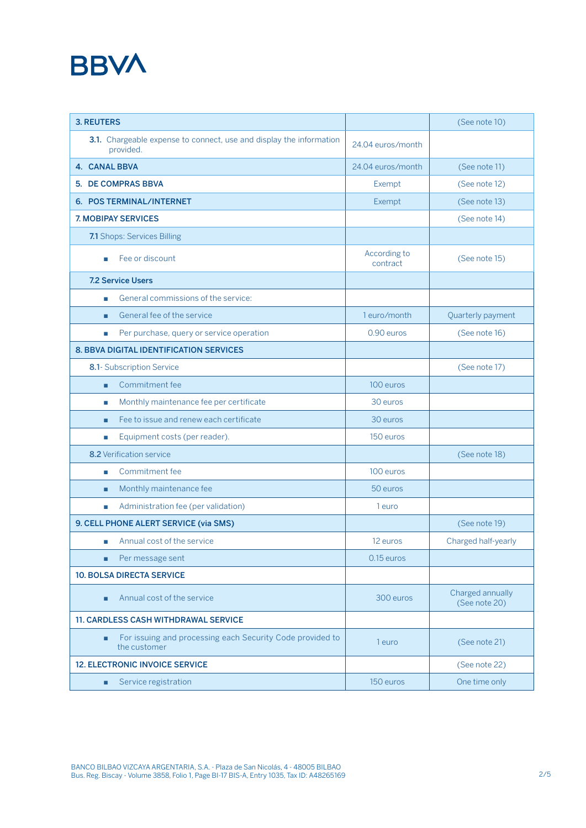## **BBVA**

| <b>3. REUTERS</b>                                                                |                          | (See note 10)                     |
|----------------------------------------------------------------------------------|--------------------------|-----------------------------------|
| 3.1. Chargeable expense to connect, use and display the information<br>provided. | 24.04 euros/month        |                                   |
| <b>4. CANAL BBVA</b>                                                             | 24.04 euros/month        | (See note 11)                     |
| 5. DE COMPRAS BBVA                                                               | Exempt                   | (See note 12)                     |
| 6. POS TERMINAL/INTERNET                                                         | Exempt                   | (See note 13)                     |
| <b>7. MOBIPAY SERVICES</b>                                                       |                          | (See note 14)                     |
| 7.1 Shops: Services Billing                                                      |                          |                                   |
| Fee or discount<br>п                                                             | According to<br>contract | (See note 15)                     |
| <b>7.2 Service Users</b>                                                         |                          |                                   |
| General commissions of the service:<br>×                                         |                          |                                   |
| General fee of the service<br>п                                                  | 1 euro/month             | Quarterly payment                 |
| Per purchase, query or service operation<br>п                                    | 0.90 euros               | (See note 16)                     |
| <b>8. BBVA DIGITAL IDENTIFICATION SERVICES</b>                                   |                          |                                   |
| 8.1- Subscription Service                                                        |                          | (See note 17)                     |
| Commitment fee<br>п                                                              | 100 euros                |                                   |
| Monthly maintenance fee per certificate<br>×                                     | 30 euros                 |                                   |
| Fee to issue and renew each certificate<br>п                                     | 30 euros                 |                                   |
| Equipment costs (per reader).<br>п                                               | 150 euros                |                                   |
| 8.2 Verification service                                                         |                          | (See note 18)                     |
| Commitment fee<br>ш                                                              | 100 euros                |                                   |
| Monthly maintenance fee<br>п                                                     | 50 euros                 |                                   |
| Administration fee (per validation)<br>п                                         | 1 euro                   |                                   |
| 9. CELL PHONE ALERT SERVICE (via SMS)                                            |                          | (See note 19)                     |
| Annual cost of the service<br>п                                                  | 12 euros                 | Charged half-yearly               |
| Per message sent                                                                 | 0.15 euros               |                                   |
| <b>10. BOLSA DIRECTA SERVICE</b>                                                 |                          |                                   |
| Annual cost of the service<br>п                                                  | 300 euros                | Charged annually<br>(See note 20) |
| <b>11. CARDLESS CASH WITHDRAWAL SERVICE</b>                                      |                          |                                   |
| For issuing and processing each Security Code provided to<br>п<br>the customer   | 1 euro                   | (See note 21)                     |
| <b>12. ELECTRONIC INVOICE SERVICE</b>                                            |                          | (See note 22)                     |
| Service registration<br>п                                                        | 150 euros                | One time only                     |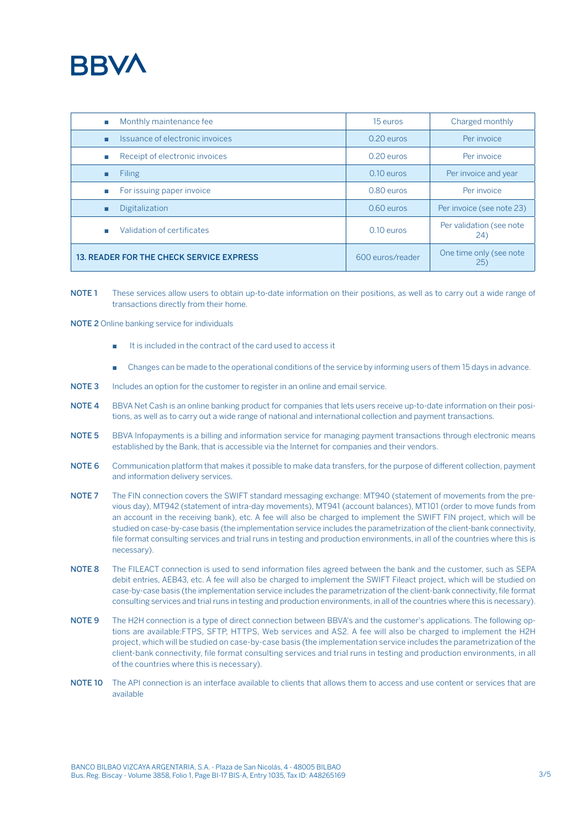

| Monthly maintenance fee<br>п                    | 15 euros         | Charged monthly                 |
|-------------------------------------------------|------------------|---------------------------------|
| Issuance of electronic invoices<br>п            | $0.20$ euros     | Per invoice                     |
| Receipt of electronic invoices<br>п             | $0.20$ euros     | Per invoice                     |
| Filing<br>п                                     | $0.10$ euros     | Per invoice and year            |
| For issuing paper invoice<br>п                  | $0.80$ euros     | Per invoice                     |
| Digitalization<br>п                             | $0.60$ euros     | Per invoice (see note 23)       |
| Validation of certificates<br>٠                 | $0.10$ euros     | Per validation (see note<br>24) |
| <b>13. READER FOR THE CHECK SERVICE EXPRESS</b> | 600 euros/reader | One time only (see note<br>25)  |

- NOTE 1 These services allow users to obtain up-to-date information on their positions, as well as to carry out a wide range of transactions directly from their home.
- NOTE 2 Online banking service for individuals
	- It is included in the contract of the card used to access it
	- Changes can be made to the operational conditions of the service by informing users of them 15 days in advance.
- NOTE 3 Includes an option for the customer to register in an online and email service.
- NOTE 4 BBVA Net Cash is an online banking product for companies that lets users receive up-to-date information on their positions, as well as to carry out a wide range of national and international collection and payment transactions.
- NOTE 5 BBVA Infopayments is a billing and information service for managing payment transactions through electronic means established by the Bank, that is accessible via the Internet for companies and their vendors.
- NOTE 6 Communication platform that makes it possible to make data transfers, for the purpose of different collection, payment and information delivery services.
- NOTE 7 The FIN connection covers the SWIFT standard messaging exchange: MT940 (statement of movements from the previous day), MT942 (statement of intra-day movements), MT941 (account balances), MT101 (order to move funds from an account in the receiving bank), etc. A fee will also be charged to implement the SWIFT FIN project, which will be studied on case-by-case basis (the implementation service includes the parametrization of the client-bank connectivity, file format consulting services and trial runs in testing and production environments, in all of the countries where this is necessary).
- NOTE 8 The FILEACT connection is used to send information files agreed between the bank and the customer, such as SEPA debit entries, AEB43, etc. A fee will also be charged to implement the SWIFT Fileact project, which will be studied on case-by-case basis (the implementation service includes the parametrization of the client-bank connectivity, file format consulting services and trial runs in testing and production environments, in all of the countries where this is necessary).
- NOTE 9 The H2H connection is a type of direct connection between BBVA's and the customer's applications. The following options are available:FTPS, SFTP, HTTPS, Web services and AS2. A fee will also be charged to implement the H2H project, which will be studied on case-by-case basis (the implementation service includes the parametrization of the client-bank connectivity, file format consulting services and trial runs in testing and production environments, in all of the countries where this is necessary).
- NOTE 10 The API connection is an interface available to clients that allows them to access and use content or services that are available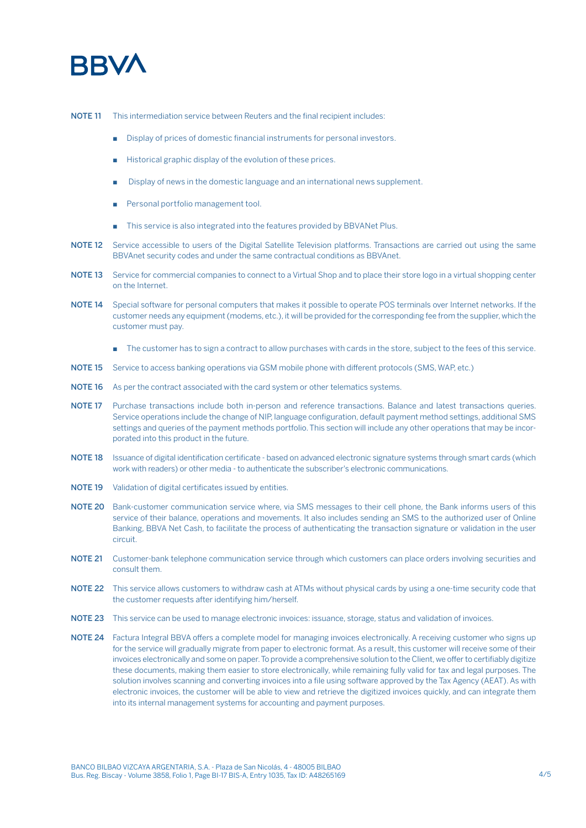

NOTE 11 This intermediation service between Reuters and the final recipient includes:

- Display of prices of domestic financial instruments for personal investors.
- Historical graphic display of the evolution of these prices.
- Display of news in the domestic language and an international news supplement.
- Personal portfolio management tool.
- This service is also integrated into the features provided by BBVANet Plus.
- NOTE 12 Service accessible to users of the Digital Satellite Television platforms. Transactions are carried out using the same BBVAnet security codes and under the same contractual conditions as BBVAnet.
- NOTE 13 Service for commercial companies to connect to a Virtual Shop and to place their store logo in a virtual shopping center on the Internet.
- NOTE 14 Special software for personal computers that makes it possible to operate POS terminals over Internet networks. If the customer needs any equipment (modems, etc.), it will be provided for the corresponding fee from the supplier, which the customer must pay.
	- The customer has to sign a contract to allow purchases with cards in the store, subject to the fees of this service.
- NOTE 15 Service to access banking operations via GSM mobile phone with different protocols (SMS, WAP, etc.)
- NOTE 16 As per the contract associated with the card system or other telematics systems.
- NOTE 17 Purchase transactions include both in-person and reference transactions. Balance and latest transactions queries. Service operations include the change of NIP, language configuration, default payment method settings, additional SMS settings and queries of the payment methods portfolio. This section will include any other operations that may be incorporated into this product in the future.
- NOTE 18 Issuance of digital identification certificate based on advanced electronic signature systems through smart cards (which work with readers) or other media - to authenticate the subscriber's electronic communications.
- NOTE 19 Validation of digital certificates issued by entities.
- NOTE 20 Bank-customer communication service where, via SMS messages to their cell phone, the Bank informs users of this service of their balance, operations and movements. It also includes sending an SMS to the authorized user of Online Banking, BBVA Net Cash, to facilitate the process of authenticating the transaction signature or validation in the user circuit.
- NOTE 21 Customer-bank telephone communication service through which customers can place orders involving securities and consult them.
- NOTE 22 This service allows customers to withdraw cash at ATMs without physical cards by using a one-time security code that the customer requests after identifying him/herself.
- NOTE 23 This service can be used to manage electronic invoices: issuance, storage, status and validation of invoices.
- NOTE 24 Factura Integral BBVA offers a complete model for managing invoices electronically. A receiving customer who signs up for the service will gradually migrate from paper to electronic format. As a result, this customer will receive some of their invoices electronically and some on paper. To provide a comprehensive solution to the Client, we offer to certifiably digitize these documents, making them easier to store electronically, while remaining fully valid for tax and legal purposes. The solution involves scanning and converting invoices into a file using software approved by the Tax Agency (AEAT). As with electronic invoices, the customer will be able to view and retrieve the digitized invoices quickly, and can integrate them into its internal management systems for accounting and payment purposes.